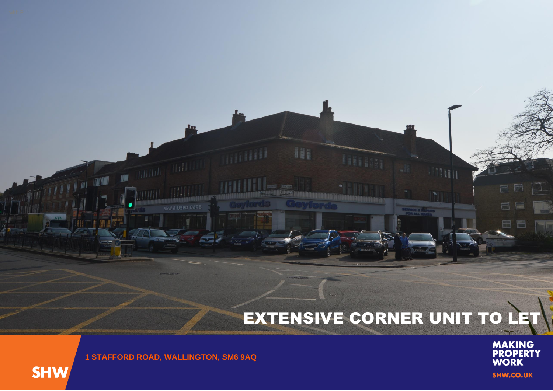# EXTENSIVE CORNER UNIT TO LET

**ANTIUT** 

lli:

**1 STAFFORD ROAD, WALLINGTON, SM6 9AQ** 

**A BUILDING HALLITTE** 

**NEW & USED CARS** 

**SHW** 

**SHW.CO.UK** 

**MAKING<br>PROPERTY<br>WORK** 

百日

日日